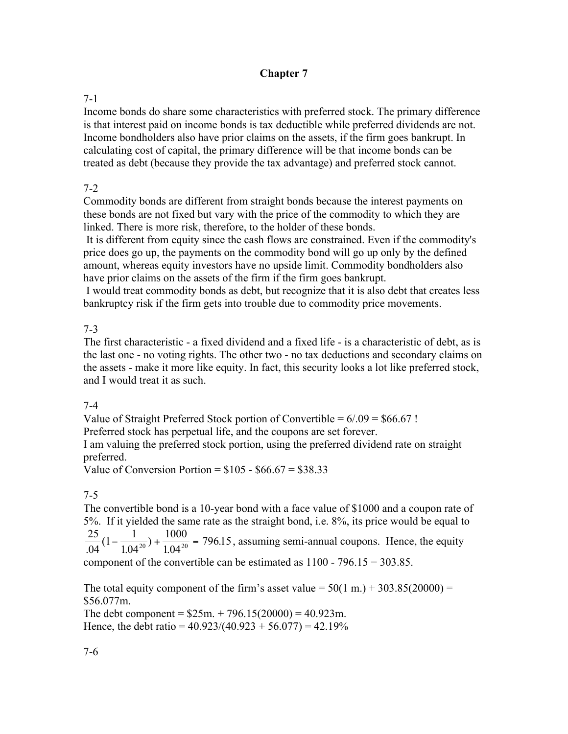## **Chapter 7**

#### 7-1

Income bonds do share some characteristics with preferred stock. The primary difference is that interest paid on income bonds is tax deductible while preferred dividends are not. Income bondholders also have prior claims on the assets, if the firm goes bankrupt. In calculating cost of capital, the primary difference will be that income bonds can be treated as debt (because they provide the tax advantage) and preferred stock cannot.

## 7-2

Commodity bonds are different from straight bonds because the interest payments on these bonds are not fixed but vary with the price of the commodity to which they are linked. There is more risk, therefore, to the holder of these bonds.

 It is different from equity since the cash flows are constrained. Even if the commodity's price does go up, the payments on the commodity bond will go up only by the defined amount, whereas equity investors have no upside limit. Commodity bondholders also have prior claims on the assets of the firm if the firm goes bankrupt.

I would treat commodity bonds as debt, but recognize that it is also debt that creates less bankruptcy risk if the firm gets into trouble due to commodity price movements.

#### 7-3

The first characteristic - a fixed dividend and a fixed life - is a characteristic of debt, as is the last one - no voting rights. The other two - no tax deductions and secondary claims on the assets - make it more like equity. In fact, this security looks a lot like preferred stock, and I would treat it as such.

## 7-4

Value of Straight Preferred Stock portion of Convertible =  $6/0.09 = $66.67$ !

Preferred stock has perpetual life, and the coupons are set forever.

I am valuing the preferred stock portion, using the preferred dividend rate on straight preferred.

Value of Conversion Portion =  $$105 - $66.67 = $38.33$ 

## 7-5

The convertible bond is a 10-year bond with a face value of \$1000 and a coupon rate of 5%. If it yielded the same rate as the straight bond, i.e. 8%, its price would be equal to 25 04  $1 - \frac{1}{10}$ 1.04 1000  $\frac{25}{104}(1-\frac{1}{1.04^{20}}) + \frac{1000}{1.04^{20}} = 796.15$ , assuming semi-annual coupons. Hence, the equity component of the convertible can be estimated as  $1100 - 796.15 = 303.85$ .

The total equity component of the firm's asset value =  $50(1 \text{ m.}) + 303.85(20000) =$ \$56.077m.

The debt component =  $$25m. + 796.15(20000) = 40.923m$ . Hence, the debt ratio =  $40.923/(40.923 + 56.077) = 42.19\%$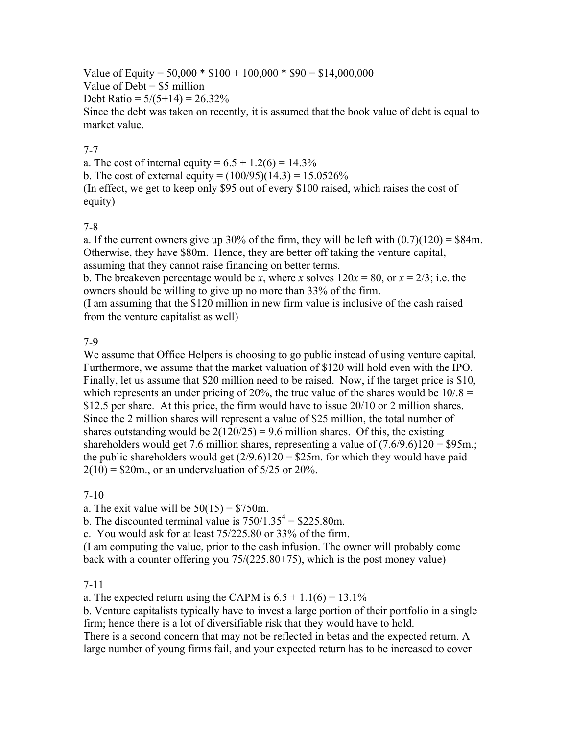Value of Equity =  $50,000 * $100 + 100,000 * $90 = $14,000,000$ Value of  $Debt = $5$  million Debt Ratio =  $5/(5+14) = 26.32\%$ Since the debt was taken on recently, it is assumed that the book value of debt is equal to market value.

## 7-7

a. The cost of internal equity =  $6.5 + 1.2(6) = 14.3\%$ b. The cost of external equity =  $(100/95)(14.3) = 15.0526\%$ (In effect, we get to keep only \$95 out of every \$100 raised, which raises the cost of equity)

#### 7-8

a. If the current owners give up 30% of the firm, they will be left with  $(0.7)(120) = $84$ m. Otherwise, they have \$80m. Hence, they are better off taking the venture capital, assuming that they cannot raise financing on better terms.

b. The breakeven percentage would be *x*, where *x* solves  $120x = 80$ , or  $x = 2/3$ ; i.e. the owners should be willing to give up no more than 33% of the firm.

(I am assuming that the \$120 million in new firm value is inclusive of the cash raised from the venture capitalist as well)

## 7-9

We assume that Office Helpers is choosing to go public instead of using venture capital. Furthermore, we assume that the market valuation of \$120 will hold even with the IPO. Finally, let us assume that \$20 million need to be raised. Now, if the target price is \$10, which represents an under pricing of 20%, the true value of the shares would be  $10/8 =$ \$12.5 per share. At this price, the firm would have to issue 20/10 or 2 million shares. Since the 2 million shares will represent a value of \$25 million, the total number of shares outstanding would be  $2(120/25) = 9.6$  million shares. Of this, the existing shareholders would get 7.6 million shares, representing a value of  $(7.6/9.6)120 = $95$ m.; the public shareholders would get  $(2/9.6)120 = $25m$ . for which they would have paid  $2(10) = $20$ m., or an undervaluation of  $5/25$  or  $20\%$ .

## 7-10

a. The exit value will be  $50(15) = $750$ m.

b. The discounted terminal value is  $750/1.35^4 = $225.80$ m.

c. You would ask for at least 75/225.80 or 33% of the firm.

(I am computing the value, prior to the cash infusion. The owner will probably come back with a counter offering you 75/(225.80+75), which is the post money value)

#### 7-11

a. The expected return using the CAPM is  $6.5 + 1.1(6) = 13.1\%$ 

b. Venture capitalists typically have to invest a large portion of their portfolio in a single firm; hence there is a lot of diversifiable risk that they would have to hold.

There is a second concern that may not be reflected in betas and the expected return. A large number of young firms fail, and your expected return has to be increased to cover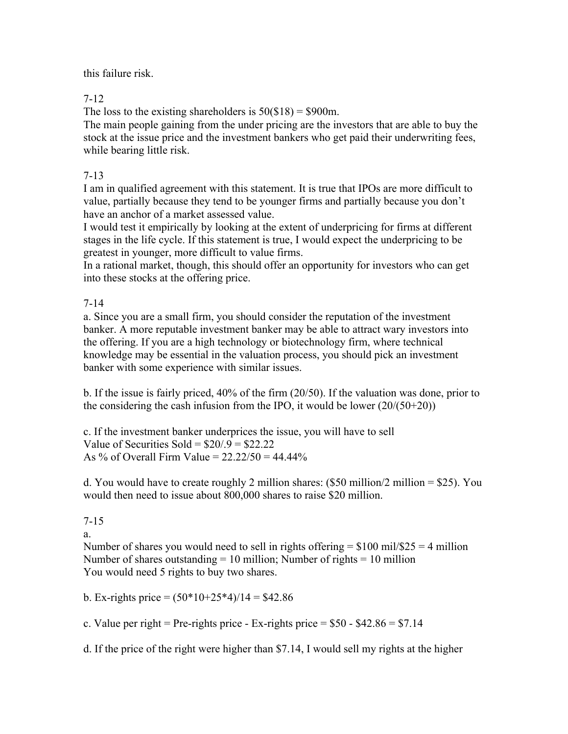this failure risk.

7-12

The loss to the existing shareholders is  $50(\text{$}18) = \text{$}900$ m.

The main people gaining from the under pricing are the investors that are able to buy the stock at the issue price and the investment bankers who get paid their underwriting fees, while bearing little risk.

7-13

I am in qualified agreement with this statement. It is true that IPOs are more difficult to value, partially because they tend to be younger firms and partially because you don't have an anchor of a market assessed value.

I would test it empirically by looking at the extent of underpricing for firms at different stages in the life cycle. If this statement is true, I would expect the underpricing to be greatest in younger, more difficult to value firms.

In a rational market, though, this should offer an opportunity for investors who can get into these stocks at the offering price.

7-14

a. Since you are a small firm, you should consider the reputation of the investment banker. A more reputable investment banker may be able to attract wary investors into the offering. If you are a high technology or biotechnology firm, where technical knowledge may be essential in the valuation process, you should pick an investment banker with some experience with similar issues.

b. If the issue is fairly priced, 40% of the firm (20/50). If the valuation was done, prior to the considering the cash infusion from the IPO, it would be lower  $(20/(50+20))$ 

c. If the investment banker underprices the issue, you will have to sell Value of Securities Sold =  $$20/9 = $22.22$ As % of Overall Firm Value =  $22.22/50 = 44.44\%$ 

d. You would have to create roughly 2 million shares:  $(\$50$  million/2 million = \$25). You would then need to issue about 800,000 shares to raise \$20 million.

7-15

a.

Number of shares you would need to sell in rights offering  $= $100$  mil/\$25  $= 4$  million Number of shares outstanding  $= 10$  million; Number of rights  $= 10$  million You would need 5 rights to buy two shares.

b. Ex-rights price  $= (50*10+25*4)/14 = $42.86$ 

c. Value per right = Pre-rights price - Ex-rights price =  $$50 - $42.86 = $7.14$ 

d. If the price of the right were higher than \$7.14, I would sell my rights at the higher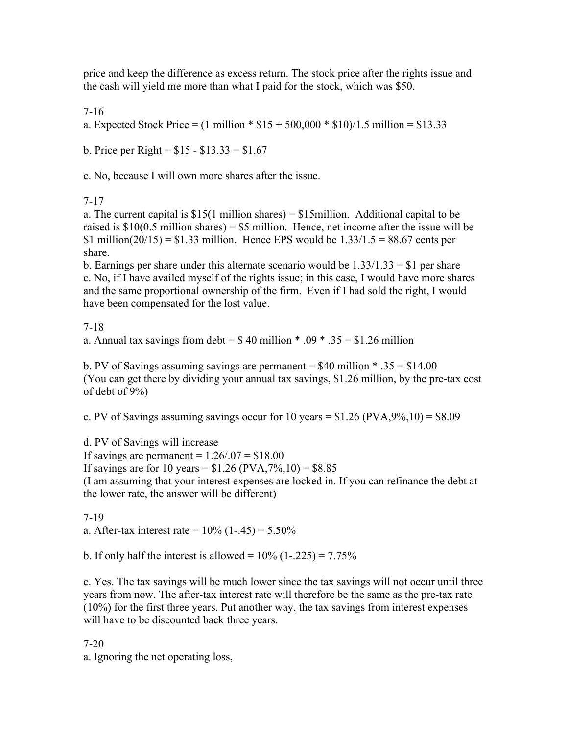price and keep the difference as excess return. The stock price after the rights issue and the cash will yield me more than what I paid for the stock, which was \$50.

7-16

a. Expected Stock Price =  $(1 \text{ million} * $15 + 500,000 * $10)/1.5 \text{ million} = $13.33$ 

b. Price per Right =  $$15 - $13.33 = $1.67$ 

c. No, because I will own more shares after the issue.

7-17

a. The current capital is  $$15(1)$  million shares) =  $$15$ million. Additional capital to be raised is  $$10(0.5 \text{ million shares}) = $5 \text{ million}$ . Hence, net income after the issue will be \$1 million( $20/15$ ) = \$1.33 million. Hence EPS would be  $1.33/1.5 = 88.67$  cents per share.

b. Earnings per share under this alternate scenario would be  $1.33/1.33 = $1$  per share c. No, if I have availed myself of the rights issue; in this case, I would have more shares and the same proportional ownership of the firm. Even if I had sold the right, I would have been compensated for the lost value.

7-18

a. Annual tax savings from debt =  $$40$  million \* .09 \* .35 = \$1.26 million

b. PV of Savings assuming savings are permanent  $= $40$  million  $* .35 = $14.00$ (You can get there by dividing your annual tax savings, \$1.26 million, by the pre-tax cost of debt of 9%)

c. PV of Savings assuming savings occur for 10 years =  $$1.26 (PVA,9%,10) = $8.09$ 

d. PV of Savings will increase If savings are permanent  $= 1.26/0.07 = $18.00$ If savings are for 10 years =  $$1.26 (PVA, 7%, 10) = $8.85$ (I am assuming that your interest expenses are locked in. If you can refinance the debt at the lower rate, the answer will be different)

7-19 a. After-tax interest rate =  $10\%$  (1-.45) =  $5.50\%$ 

b. If only half the interest is allowed =  $10\%$  (1-.225) =  $7.75\%$ 

c. Yes. The tax savings will be much lower since the tax savings will not occur until three years from now. The after-tax interest rate will therefore be the same as the pre-tax rate (10%) for the first three years. Put another way, the tax savings from interest expenses will have to be discounted back three years.

7-20

a. Ignoring the net operating loss,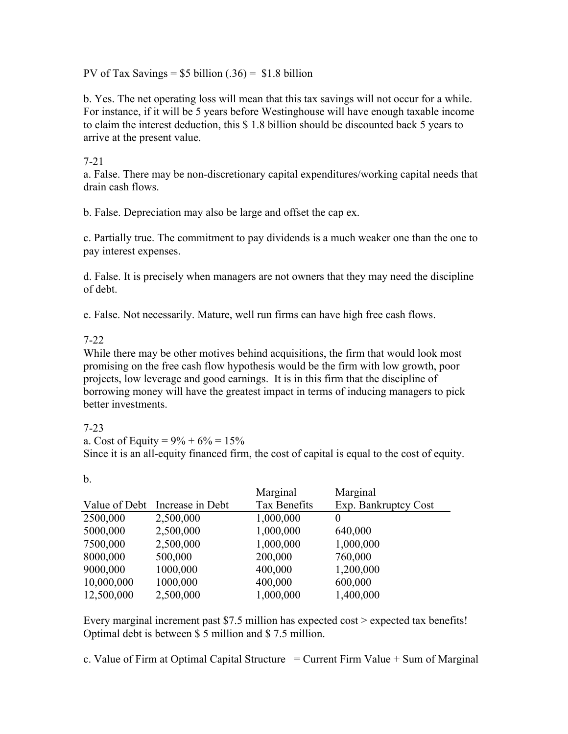PV of Tax Savings =  $$5$  billion (.36) =  $$1.8$  billion

b. Yes. The net operating loss will mean that this tax savings will not occur for a while. For instance, if it will be 5 years before Westinghouse will have enough taxable income to claim the interest deduction, this \$ 1.8 billion should be discounted back 5 years to arrive at the present value.

## 7-21

a. False. There may be non-discretionary capital expenditures/working capital needs that drain cash flows.

b. False. Depreciation may also be large and offset the cap ex.

c. Partially true. The commitment to pay dividends is a much weaker one than the one to pay interest expenses.

d. False. It is precisely when managers are not owners that they may need the discipline of debt.

e. False. Not necessarily. Mature, well run firms can have high free cash flows.

## 7-22

While there may be other motives behind acquisitions, the firm that would look most promising on the free cash flow hypothesis would be the firm with low growth, poor projects, low leverage and good earnings. It is in this firm that the discipline of borrowing money will have the greatest impact in terms of inducing managers to pick better investments.

## 7-23

b.

a. Cost of Equity =  $9\% + 6\% = 15\%$ Since it is an all-equity financed firm, the cost of capital is equal to the cost of equity.

|            |                                | Marginal            | Marginal             |
|------------|--------------------------------|---------------------|----------------------|
|            | Value of Debt Increase in Debt | <b>Tax Benefits</b> | Exp. Bankruptcy Cost |
| 2500,000   | 2,500,000                      | 1,000,000           | $\theta$             |
| 5000,000   | 2,500,000                      | 1,000,000           | 640,000              |
| 7500,000   | 2,500,000                      | 1,000,000           | 1,000,000            |
| 8000,000   | 500,000                        | 200,000             | 760,000              |
| 9000,000   | 1000,000                       | 400,000             | 1,200,000            |
| 10,000,000 | 1000,000                       | 400,000             | 600,000              |
| 12,500,000 | 2,500,000                      | 1,000,000           | 1,400,000            |

Every marginal increment past \$7.5 million has expected cost > expected tax benefits! Optimal debt is between \$ 5 million and \$ 7.5 million.

c. Value of Firm at Optimal Capital Structure  $=$  Current Firm Value  $+$  Sum of Marginal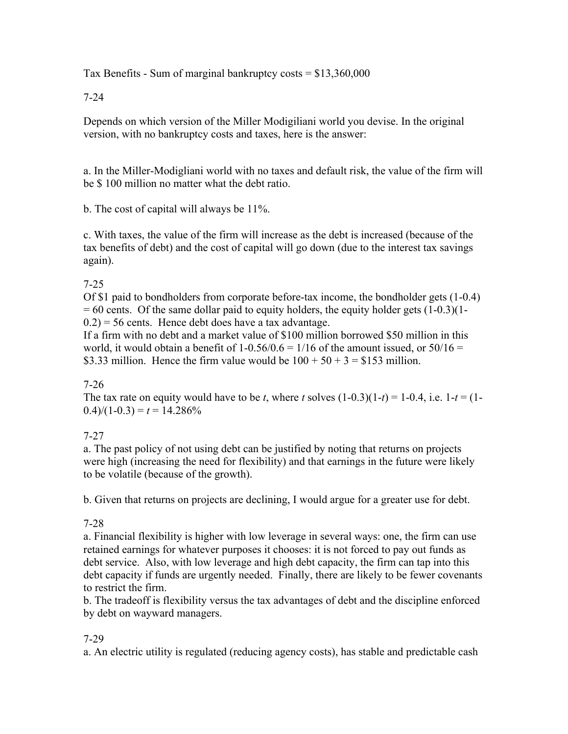Tax Benefits - Sum of marginal bankruptcy costs  $= $13,360,000$ 

7-24

Depends on which version of the Miller Modigiliani world you devise. In the original version, with no bankruptcy costs and taxes, here is the answer:

a. In the Miller-Modigliani world with no taxes and default risk, the value of the firm will be \$ 100 million no matter what the debt ratio.

b. The cost of capital will always be 11%.

c. With taxes, the value of the firm will increase as the debt is increased (because of the tax benefits of debt) and the cost of capital will go down (due to the interest tax savings again).

## 7-25

Of \$1 paid to bondholders from corporate before-tax income, the bondholder gets (1-0.4)  $= 60$  cents. Of the same dollar paid to equity holders, the equity holder gets  $(1-0.3)(1-0.3)$  $(0.2)$  = 56 cents. Hence debt does have a tax advantage.

If a firm with no debt and a market value of \$100 million borrowed \$50 million in this world, it would obtain a benefit of  $1-0.56/0.6 = 1/16$  of the amount issued, or  $50/16 = 1/16$ \$3.33 million. Hence the firm value would be  $100 + 50 + 3 = $153$  million.

## 7-26

The tax rate on equity would have to be *t*, where *t* solves  $(1-0.3)(1-t) = 1-0.4$ , i.e.  $1-t = (1-t)$  $(0.4)/(1-0.3) = t = 14.286\%$ 

# 7-27

a. The past policy of not using debt can be justified by noting that returns on projects were high (increasing the need for flexibility) and that earnings in the future were likely to be volatile (because of the growth).

b. Given that returns on projects are declining, I would argue for a greater use for debt.

## 7-28

a. Financial flexibility is higher with low leverage in several ways: one, the firm can use retained earnings for whatever purposes it chooses: it is not forced to pay out funds as debt service. Also, with low leverage and high debt capacity, the firm can tap into this debt capacity if funds are urgently needed. Finally, there are likely to be fewer covenants to restrict the firm.

b. The tradeoff is flexibility versus the tax advantages of debt and the discipline enforced by debt on wayward managers.

## 7-29

a. An electric utility is regulated (reducing agency costs), has stable and predictable cash